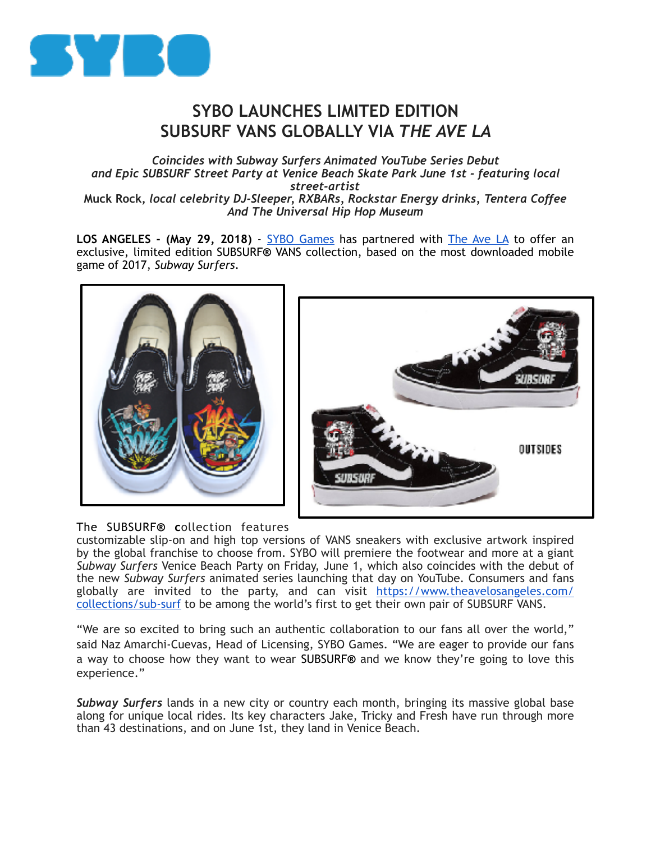

## **SYBO LAUNCHES LIMITED EDITION SUBSURF VANS GLOBALLY VIA** *THE AVE LA*

*Coincides with Subway Surfers Animated YouTube Series Debut and Epic SUBSURF Street Party at Venice Beach Skate Park June 1st - featuring local street-artist*  **Muck Rock,** *local celebrity DJ-Sleeper, RXBARs, Rockstar Energy drinks, Tentera Coffee And The Universal Hip Hop Museum* 

LOS ANGELES - (May 29, 2018) - [SYBO Games](https://sybogames.com/) has partnered with [The Ave LA](https://www.theavelosangeles.com/collections/sub-surf) to offer an exclusive, limited edition SUBSURF**®** VANS collection, based on the most downloaded mobile game of 2017, *Subway Surfers*.





## The SUBSURF**® c**ollection features

customizable slip-on and high top versions of VANS sneakers with exclusive artwork inspired by the global franchise to choose from. SYBO will premiere the footwear and more at a giant *Subway Surfers* Venice Beach Party on Friday, June 1, which also coincides with the debut of the new *Subway Surfers* animated series launching that day on YouTube. Consumers and fans globally are invited to the party, and can visit [https://www.theavelosangeles.com/](https://www.theavelosangeles.com/collections/sub-surf) [collections/sub-surf](https://www.theavelosangeles.com/collections/sub-surf) to be among the world's first to get their own pair of SUBSURF VANS.

"We are so excited to bring such an authentic collaboration to our fans all over the world," said Naz Amarchi-Cuevas, Head of Licensing, SYBO Games. "We are eager to provide our fans a way to choose how they want to wear SUBSURF**®** and we know they're going to love this experience."

*Subway Surfers* lands in a new city or country each month, bringing its massive global base along for unique local rides. Its key characters Jake, Tricky and Fresh have run through more than 43 destinations, and on June 1st, they land in Venice Beach.